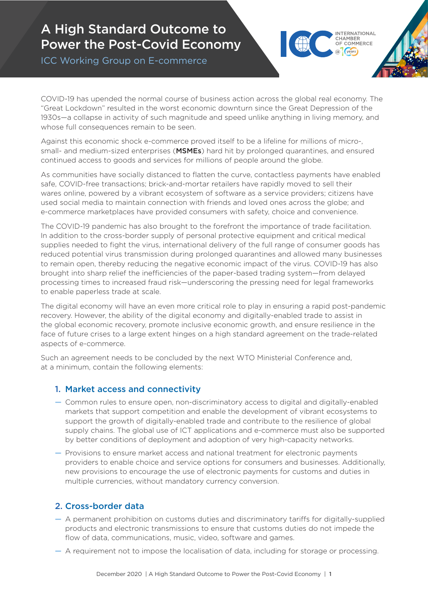# A High Standard Outcome to Power the Post-Covid Economy

ICC Working Group on E-commerce



COVID-19 has upended the normal course of business action across the global real economy. The "Great Lockdown" resulted in the worst economic downturn since the Great Depression of the 1930s—a collapse in activity of such magnitude and speed unlike anything in living memory, and whose full consequences remain to be seen.

Against this economic shock e-commerce proved itself to be a lifeline for millions of micro-, small- and medium-sized enterprises (**MSMEs**) hard hit by prolonged quarantines, and ensured continued access to goods and services for millions of people around the globe.

As communities have socially distanced to flatten the curve, contactless payments have enabled safe, COVID-free transactions; brick-and-mortar retailers have rapidly moved to sell their wares online, powered by a vibrant ecosystem of software as a service providers; citizens have used social media to maintain connection with friends and loved ones across the globe; and e-commerce marketplaces have provided consumers with safety, choice and convenience.

The COVID-19 pandemic has also brought to the forefront the importance of trade facilitation. In addition to the cross-border supply of personal protective equipment and critical medical supplies needed to fight the virus, international delivery of the full range of consumer goods has reduced potential virus transmission during prolonged quarantines and allowed many businesses to remain open, thereby reducing the negative economic impact of the virus. COVID-19 has also brought into sharp relief the inefficiencies of the paper-based trading system—from delayed processing times to increased fraud risk—underscoring the pressing need for legal frameworks to enable paperless trade at scale.

The digital economy will have an even more critical role to play in ensuring a rapid post-pandemic recovery. However, the ability of the digital economy and digitally-enabled trade to assist in the global economic recovery, promote inclusive economic growth, and ensure resilience in the face of future crises to a large extent hinges on a high standard agreement on the trade-related aspects of e-commerce.

Such an agreement needs to be concluded by the next WTO Ministerial Conference and, at a minimum, contain the following elements:

# 1. Market access and connectivity

- **—** Common rules to ensure open, non-discriminatory access to digital and digitally-enabled markets that support competition and enable the development of vibrant ecosystems to support the growth of digitally-enabled trade and contribute to the resilience of global supply chains. The global use of ICT applications and e-commerce must also be supported by better conditions of deployment and adoption of very high-capacity networks.
- **—** Provisions to ensure market access and national treatment for electronic payments providers to enable choice and service options for consumers and businesses. Additionally, new provisions to encourage the use of electronic payments for customs and duties in multiple currencies, without mandatory currency conversion.

# 2. Cross-border data

- **—** A permanent prohibition on customs duties and discriminatory tariffs for digitally-supplied products and electronic transmissions to ensure that customs duties do not impede the flow of data, communications, music, video, software and games.
- **—** A requirement not to impose the localisation of data, including for storage or processing.